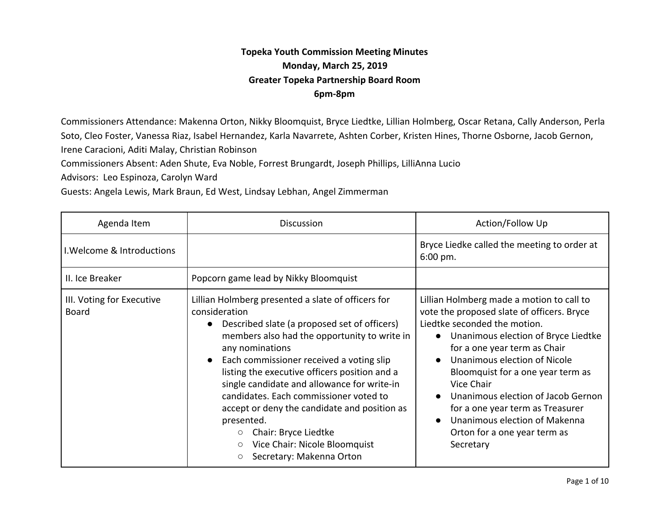## **Topeka Youth Commission Meeting Minutes Monday, March 25, 2019 Greater Topeka Partnership Board Room 6pm-8pm**

Commissioners Attendance: Makenna Orton, Nikky Bloomquist, Bryce Liedtke, Lillian Holmberg, Oscar Retana, Cally Anderson, Perla Soto, Cleo Foster, Vanessa Riaz, Isabel Hernandez, Karla Navarrete, Ashten Corber, Kristen Hines, Thorne Osborne, Jacob Gernon, Irene Caracioni, Aditi Malay, Christian Robinson

Commissioners Absent: Aden Shute, Eva Noble, Forrest Brungardt, Joseph Phillips, LilliAnna Lucio

Advisors: Leo Espinoza, Carolyn Ward

Guests: Angela Lewis, Mark Braun, Ed West, Lindsay Lebhan, Angel Zimmerman

| Agenda Item                               | <b>Discussion</b>                                                                                                                                                                                                                                                                                                                                                                                                                                                                                                                                                               | Action/Follow Up                                                                                                                                                                                                                                                                                                                                                                                                                                                                              |
|-------------------------------------------|---------------------------------------------------------------------------------------------------------------------------------------------------------------------------------------------------------------------------------------------------------------------------------------------------------------------------------------------------------------------------------------------------------------------------------------------------------------------------------------------------------------------------------------------------------------------------------|-----------------------------------------------------------------------------------------------------------------------------------------------------------------------------------------------------------------------------------------------------------------------------------------------------------------------------------------------------------------------------------------------------------------------------------------------------------------------------------------------|
| I. Welcome & Introductions                |                                                                                                                                                                                                                                                                                                                                                                                                                                                                                                                                                                                 | Bryce Liedke called the meeting to order at<br>6:00 pm.                                                                                                                                                                                                                                                                                                                                                                                                                                       |
| II. Ice Breaker                           | Popcorn game lead by Nikky Bloomquist                                                                                                                                                                                                                                                                                                                                                                                                                                                                                                                                           |                                                                                                                                                                                                                                                                                                                                                                                                                                                                                               |
| III. Voting for Executive<br><b>Board</b> | Lillian Holmberg presented a slate of officers for<br>consideration<br>Described slate (a proposed set of officers)<br>$\bullet$<br>members also had the opportunity to write in<br>any nominations<br>Each commissioner received a voting slip<br>$\bullet$<br>listing the executive officers position and a<br>single candidate and allowance for write-in<br>candidates. Each commissioner voted to<br>accept or deny the candidate and position as<br>presented.<br>Chair: Bryce Liedtke<br>$\circ$<br>Vice Chair: Nicole Bloomquist<br>$\circ$<br>Secretary: Makenna Orton | Lillian Holmberg made a motion to call to<br>vote the proposed slate of officers. Bryce<br>Liedtke seconded the motion.<br>Unanimous election of Bryce Liedtke<br>$\bullet$<br>for a one year term as Chair<br>Unanimous election of Nicole<br>$\bullet$<br>Bloomquist for a one year term as<br>Vice Chair<br>Unanimous election of Jacob Gernon<br>$\bullet$<br>for a one year term as Treasurer<br>Unanimous election of Makenna<br>$\bullet$<br>Orton for a one year term as<br>Secretary |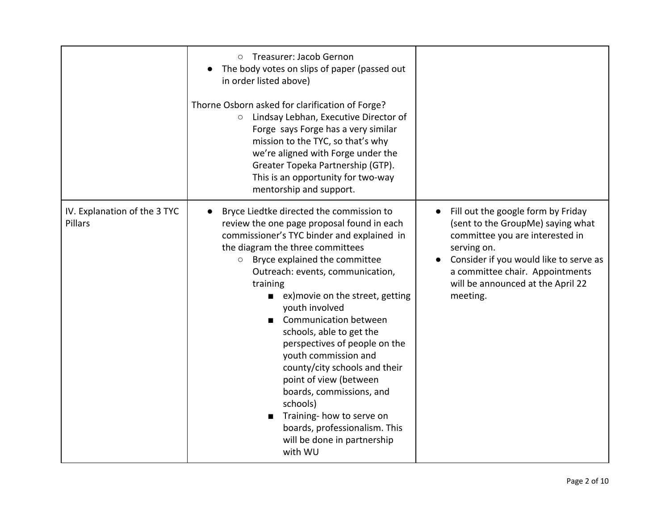|                                         | Treasurer: Jacob Gernon<br>$\circ$<br>The body votes on slips of paper (passed out<br>in order listed above)<br>Thorne Osborn asked for clarification of Forge?<br>O Lindsay Lebhan, Executive Director of<br>Forge says Forge has a very similar<br>mission to the TYC, so that's why<br>we're aligned with Forge under the<br>Greater Topeka Partnership (GTP).<br>This is an opportunity for two-way<br>mentorship and support.                                                                                                                                                                                                                                             |                                                                                                                                                                                                                                                         |
|-----------------------------------------|--------------------------------------------------------------------------------------------------------------------------------------------------------------------------------------------------------------------------------------------------------------------------------------------------------------------------------------------------------------------------------------------------------------------------------------------------------------------------------------------------------------------------------------------------------------------------------------------------------------------------------------------------------------------------------|---------------------------------------------------------------------------------------------------------------------------------------------------------------------------------------------------------------------------------------------------------|
| IV. Explanation of the 3 TYC<br>Pillars | Bryce Liedtke directed the commission to<br>review the one page proposal found in each<br>commissioner's TYC binder and explained in<br>the diagram the three committees<br>Bryce explained the committee<br>$\circ$<br>Outreach: events, communication,<br>training<br>■ ex) movie on the street, getting<br>youth involved<br><b>Communication between</b><br>$\blacksquare$<br>schools, able to get the<br>perspectives of people on the<br>youth commission and<br>county/city schools and their<br>point of view (between<br>boards, commissions, and<br>schools)<br>Training- how to serve on<br>boards, professionalism. This<br>will be done in partnership<br>with WU | Fill out the google form by Friday<br>(sent to the GroupMe) saying what<br>committee you are interested in<br>serving on.<br>Consider if you would like to serve as<br>a committee chair. Appointments<br>will be announced at the April 22<br>meeting. |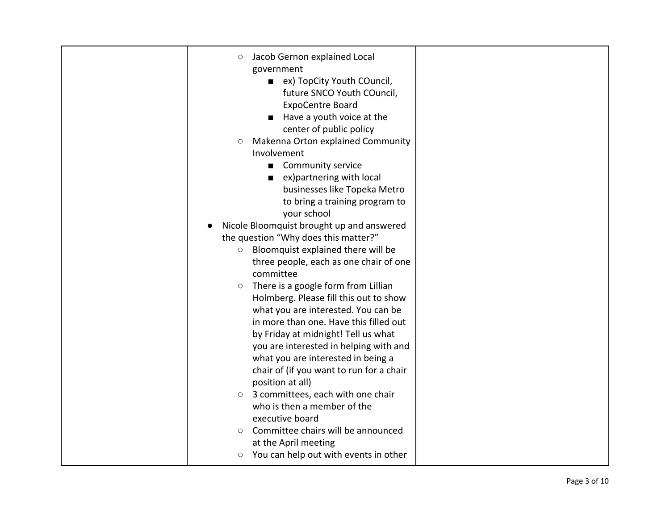| Jacob Gernon explained Local<br>O                          |  |
|------------------------------------------------------------|--|
| government                                                 |  |
| ex) TopCity Youth COuncil,<br>$\blacksquare$               |  |
| future SNCO Youth COuncil,                                 |  |
| <b>ExpoCentre Board</b>                                    |  |
| Have a youth voice at the                                  |  |
| center of public policy                                    |  |
| Makenna Orton explained Community<br>$\circlearrowright$   |  |
| Involvement                                                |  |
| <b>Community service</b><br>$\blacksquare$                 |  |
| ex) partnering with local<br>$\blacksquare$                |  |
| businesses like Topeka Metro                               |  |
| to bring a training program to                             |  |
| your school                                                |  |
| Nicole Bloomquist brought up and answered                  |  |
| the question "Why does this matter?"                       |  |
| Bloomquist explained there will be<br>$\bigcirc$           |  |
| three people, each as one chair of one                     |  |
| committee                                                  |  |
| There is a google form from Lillian<br>$\circlearrowright$ |  |
| Holmberg. Please fill this out to show                     |  |
| what you are interested. You can be                        |  |
| in more than one. Have this filled out                     |  |
| by Friday at midnight! Tell us what                        |  |
| you are interested in helping with and                     |  |
| what you are interested in being a                         |  |
| chair of (if you want to run for a chair                   |  |
| position at all)                                           |  |
| 3 committees, each with one chair<br>$\bigcirc$            |  |
| who is then a member of the                                |  |
| executive board                                            |  |
| Committee chairs will be announced<br>$\bigcirc$           |  |
| at the April meeting                                       |  |
| You can help out with events in other<br>О                 |  |
|                                                            |  |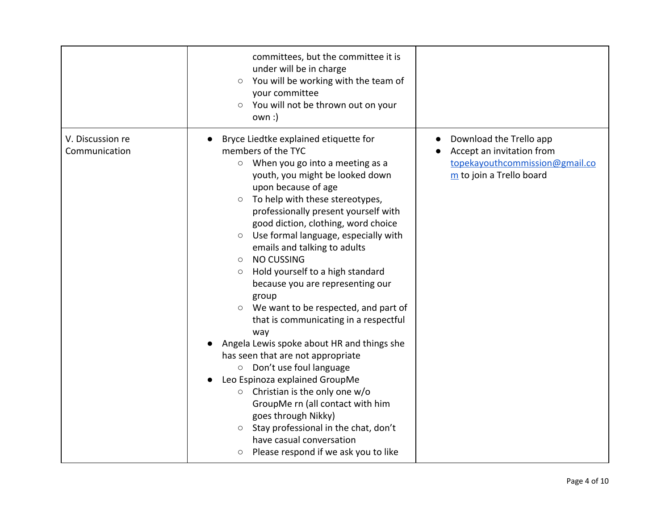|                                   | committees, but the committee it is<br>under will be in charge<br>You will be working with the team of<br>$\circ$<br>your committee<br>You will not be thrown out on your<br>$\circ$<br>$own:$ )                                                                                                                                                                                                                                                                                                                                                                                                                                                                                                                                                                                                                                                                                                                                                                                                                                   |                                                                                                                    |
|-----------------------------------|------------------------------------------------------------------------------------------------------------------------------------------------------------------------------------------------------------------------------------------------------------------------------------------------------------------------------------------------------------------------------------------------------------------------------------------------------------------------------------------------------------------------------------------------------------------------------------------------------------------------------------------------------------------------------------------------------------------------------------------------------------------------------------------------------------------------------------------------------------------------------------------------------------------------------------------------------------------------------------------------------------------------------------|--------------------------------------------------------------------------------------------------------------------|
| V. Discussion re<br>Communication | Bryce Liedtke explained etiquette for<br>members of the TYC<br>When you go into a meeting as a<br>$\circ$<br>youth, you might be looked down<br>upon because of age<br>To help with these stereotypes,<br>$\circlearrowright$<br>professionally present yourself with<br>good diction, clothing, word choice<br>Use formal language, especially with<br>$\circ$<br>emails and talking to adults<br><b>NO CUSSING</b><br>$\circ$<br>Hold yourself to a high standard<br>$\circ$<br>because you are representing our<br>group<br>We want to be respected, and part of<br>$\circ$<br>that is communicating in a respectful<br>way<br>Angela Lewis spoke about HR and things she<br>has seen that are not appropriate<br>Don't use foul language<br>$\circ$<br>Leo Espinoza explained GroupMe<br>Christian is the only one w/o<br>$\circ$<br>GroupMe rn (all contact with him<br>goes through Nikky)<br>Stay professional in the chat, don't<br>$\circ$<br>have casual conversation<br>Please respond if we ask you to like<br>$\circ$ | Download the Trello app<br>Accept an invitation from<br>topekayouthcommission@gmail.co<br>m to join a Trello board |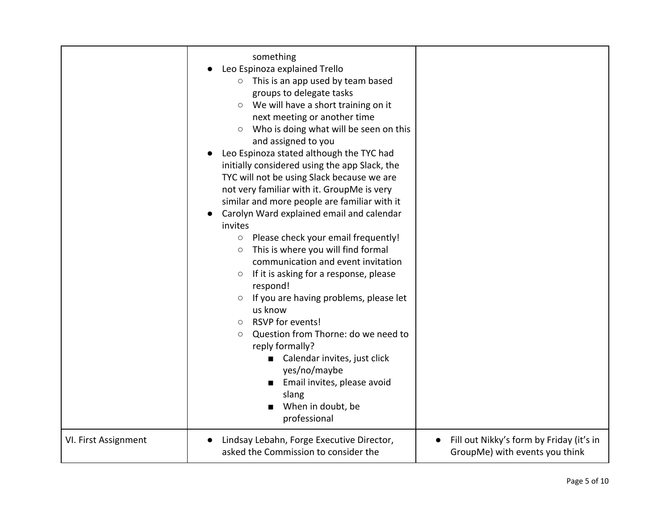| VI. First Assignment | something<br>Leo Espinoza explained Trello<br>$\circ$ This is an app used by team based<br>groups to delegate tasks<br>○ We will have a short training on it<br>next meeting or another time<br>Who is doing what will be seen on this<br>$\circ$<br>and assigned to you<br>Leo Espinoza stated although the TYC had<br>initially considered using the app Slack, the<br>TYC will not be using Slack because we are<br>not very familiar with it. GroupMe is very<br>similar and more people are familiar with it<br>Carolyn Ward explained email and calendar<br>invites<br>Please check your email frequently!<br>$\bigcirc$<br>This is where you will find formal<br>$\circ$<br>communication and event invitation<br>If it is asking for a response, please<br>O<br>respond!<br>If you are having problems, please let<br>$\circ$<br>us know<br>RSVP for events!<br>$\circ$<br>Question from Thorne: do we need to<br>$\circ$<br>reply formally?<br>Calendar invites, just click<br>yes/no/maybe<br>Email invites, please avoid<br>slang<br>When in doubt, be<br>professional<br>Lindsay Lebahn, Forge Executive Director, | Fill out Nikky's form by Friday (it's in |
|----------------------|--------------------------------------------------------------------------------------------------------------------------------------------------------------------------------------------------------------------------------------------------------------------------------------------------------------------------------------------------------------------------------------------------------------------------------------------------------------------------------------------------------------------------------------------------------------------------------------------------------------------------------------------------------------------------------------------------------------------------------------------------------------------------------------------------------------------------------------------------------------------------------------------------------------------------------------------------------------------------------------------------------------------------------------------------------------------------------------------------------------------------------|------------------------------------------|
|                      | asked the Commission to consider the                                                                                                                                                                                                                                                                                                                                                                                                                                                                                                                                                                                                                                                                                                                                                                                                                                                                                                                                                                                                                                                                                           | GroupMe) with events you think           |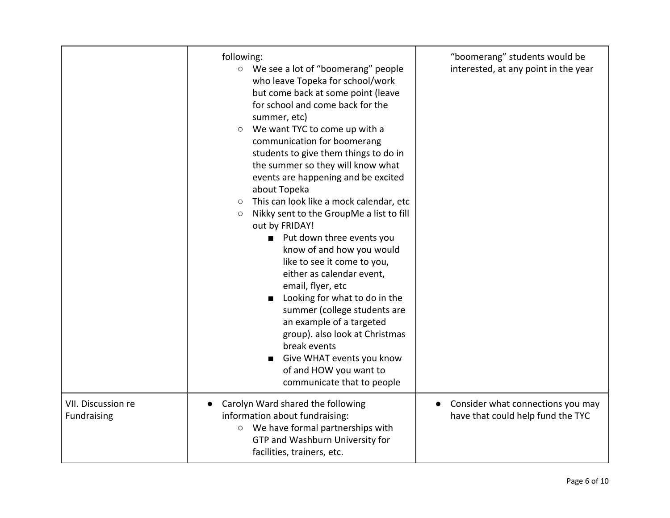|                                   | following:<br>○ We see a lot of "boomerang" people<br>who leave Topeka for school/work<br>but come back at some point (leave<br>for school and come back for the<br>summer, etc)<br>We want TYC to come up with a<br>$\circlearrowright$<br>communication for boomerang<br>students to give them things to do in<br>the summer so they will know what<br>events are happening and be excited<br>about Topeka<br>This can look like a mock calendar, etc<br>$\circlearrowright$<br>Nikky sent to the GroupMe a list to fill<br>O<br>out by FRIDAY!<br>Put down three events you<br>$\blacksquare$<br>know of and how you would<br>like to see it come to you,<br>either as calendar event,<br>email, flyer, etc<br>Looking for what to do in the<br>$\blacksquare$<br>summer (college students are<br>an example of a targeted<br>group). also look at Christmas<br>break events<br>Give WHAT events you know<br>of and HOW you want to<br>communicate that to people | "boomerang" students would be<br>interested, at any point in the year               |
|-----------------------------------|----------------------------------------------------------------------------------------------------------------------------------------------------------------------------------------------------------------------------------------------------------------------------------------------------------------------------------------------------------------------------------------------------------------------------------------------------------------------------------------------------------------------------------------------------------------------------------------------------------------------------------------------------------------------------------------------------------------------------------------------------------------------------------------------------------------------------------------------------------------------------------------------------------------------------------------------------------------------|-------------------------------------------------------------------------------------|
| VII. Discussion re<br>Fundraising | Carolyn Ward shared the following<br>information about fundraising:<br>O We have formal partnerships with<br>GTP and Washburn University for<br>facilities, trainers, etc.                                                                                                                                                                                                                                                                                                                                                                                                                                                                                                                                                                                                                                                                                                                                                                                           | Consider what connections you may<br>$\bullet$<br>have that could help fund the TYC |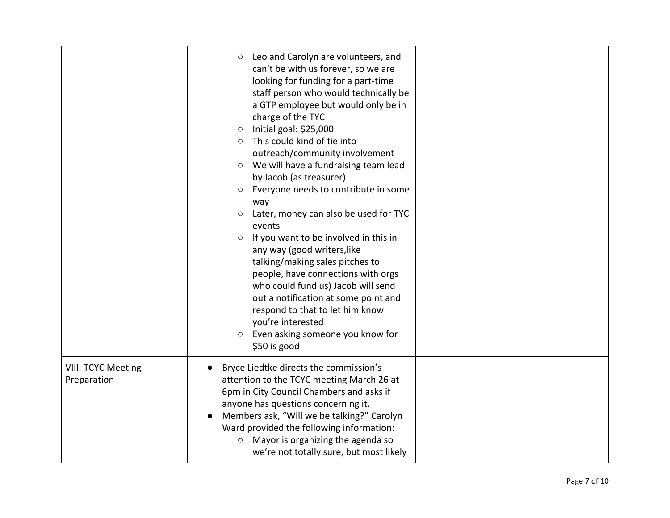|                                   | Leo and Carolyn are volunteers, and<br>O<br>can't be with us forever, so we are<br>looking for funding for a part-time<br>staff person who would technically be<br>a GTP employee but would only be in<br>charge of the TYC<br>Initial goal: \$25,000<br>O<br>This could kind of tie into<br>$\circ$<br>outreach/community involvement<br>We will have a fundraising team lead<br>O<br>by Jacob (as treasurer)<br>Everyone needs to contribute in some<br>O<br>way<br>Later, money can also be used for TYC<br>events<br>If you want to be involved in this in<br>$\bigcirc$<br>any way (good writers, like<br>talking/making sales pitches to<br>people, have connections with orgs<br>who could fund us) Jacob will send<br>out a notification at some point and<br>respond to that to let him know<br>you're interested<br>Even asking someone you know for<br>$\bigcirc$<br>\$50 is good |  |
|-----------------------------------|----------------------------------------------------------------------------------------------------------------------------------------------------------------------------------------------------------------------------------------------------------------------------------------------------------------------------------------------------------------------------------------------------------------------------------------------------------------------------------------------------------------------------------------------------------------------------------------------------------------------------------------------------------------------------------------------------------------------------------------------------------------------------------------------------------------------------------------------------------------------------------------------|--|
| VIII. TCYC Meeting<br>Preparation | Bryce Liedtke directs the commission's<br>attention to the TCYC meeting March 26 at<br>6pm in City Council Chambers and asks if<br>anyone has questions concerning it.<br>Members ask, "Will we be talking?" Carolyn<br>Ward provided the following information:<br>Mayor is organizing the agenda so<br>$\bigcirc$<br>we're not totally sure, but most likely                                                                                                                                                                                                                                                                                                                                                                                                                                                                                                                               |  |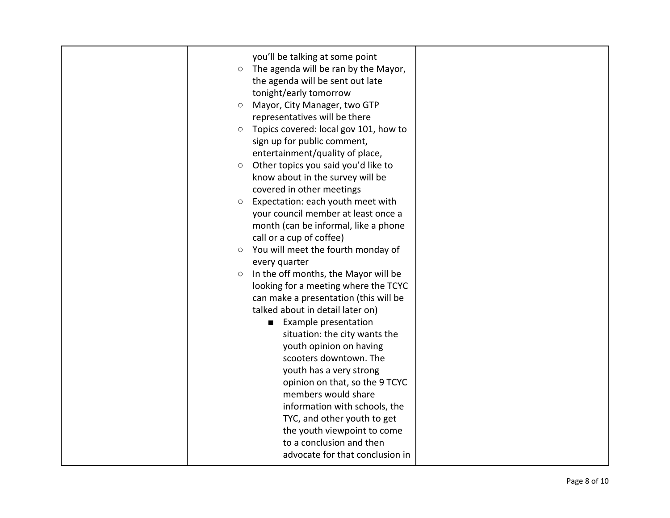| you'll be talking at some point<br>The agenda will be ran by the Mayor,<br>$\bigcirc$<br>the agenda will be sent out late<br>tonight/early tomorrow<br>Mayor, City Manager, two GTP<br>$\circ$<br>representatives will be there<br>Topics covered: local gov 101, how to<br>$\bigcirc$<br>sign up for public comment,<br>entertainment/quality of place,<br>Other topics you said you'd like to<br>$\bigcirc$<br>know about in the survey will be<br>covered in other meetings<br>Expectation: each youth meet with<br>$\circ$<br>your council member at least once a<br>month (can be informal, like a phone<br>call or a cup of coffee)<br>You will meet the fourth monday of<br>$\circ$<br>every quarter<br>In the off months, the Mayor will be<br>$\bigcirc$<br>looking for a meeting where the TCYC<br>can make a presentation (this will be<br>talked about in detail later on)<br>■ Example presentation<br>situation: the city wants the<br>youth opinion on having<br>scooters downtown. The<br>youth has a very strong<br>opinion on that, so the 9 TCYC<br>members would share<br>information with schools, the<br>TYC, and other youth to get<br>the youth viewpoint to come |  |
|-------------------------------------------------------------------------------------------------------------------------------------------------------------------------------------------------------------------------------------------------------------------------------------------------------------------------------------------------------------------------------------------------------------------------------------------------------------------------------------------------------------------------------------------------------------------------------------------------------------------------------------------------------------------------------------------------------------------------------------------------------------------------------------------------------------------------------------------------------------------------------------------------------------------------------------------------------------------------------------------------------------------------------------------------------------------------------------------------------------------------------------------------------------------------------------------|--|
| to a conclusion and then<br>advocate for that conclusion in                                                                                                                                                                                                                                                                                                                                                                                                                                                                                                                                                                                                                                                                                                                                                                                                                                                                                                                                                                                                                                                                                                                               |  |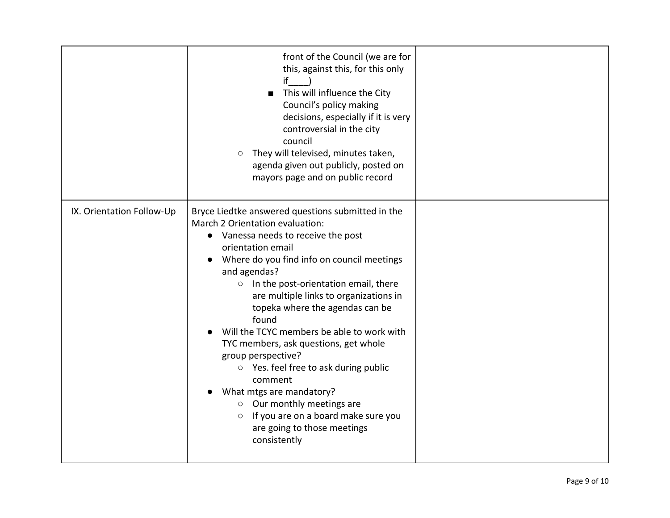|                           | front of the Council (we are for<br>this, against this, for this only<br>if<br>This will influence the City<br>$\blacksquare$<br>Council's policy making<br>decisions, especially if it is very<br>controversial in the city<br>council<br>They will televised, minutes taken,<br>$\bigcirc$<br>agenda given out publicly, posted on<br>mayors page and on public record                                                                                                                                                                                                                                                                                                                     |  |
|---------------------------|----------------------------------------------------------------------------------------------------------------------------------------------------------------------------------------------------------------------------------------------------------------------------------------------------------------------------------------------------------------------------------------------------------------------------------------------------------------------------------------------------------------------------------------------------------------------------------------------------------------------------------------------------------------------------------------------|--|
| IX. Orientation Follow-Up | Bryce Liedtke answered questions submitted in the<br>March 2 Orientation evaluation:<br>• Vanessa needs to receive the post<br>orientation email<br>Where do you find info on council meetings<br>and agendas?<br>$\circ$ In the post-orientation email, there<br>are multiple links to organizations in<br>topeka where the agendas can be<br>found<br>Will the TCYC members be able to work with<br>TYC members, ask questions, get whole<br>group perspective?<br>$\circ$ Yes. feel free to ask during public<br>comment<br>What mtgs are mandatory?<br>$\circ$ Our monthly meetings are<br>If you are on a board make sure you<br>$\circ$<br>are going to those meetings<br>consistently |  |